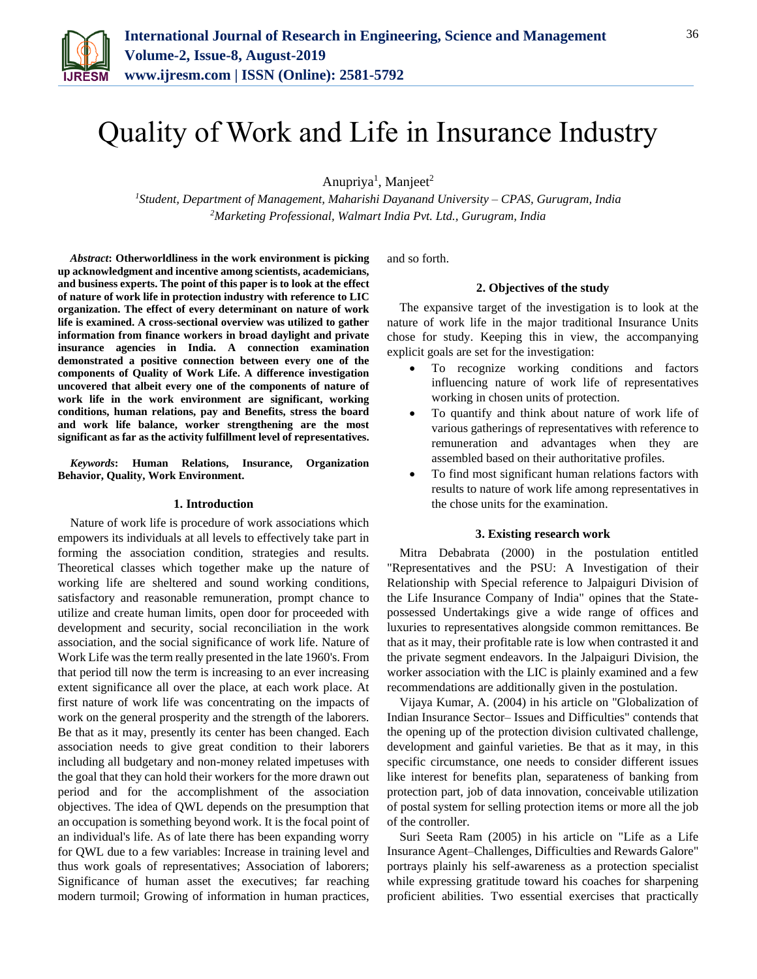

# Quality of Work and Life in Insurance Industry

Anupriya<sup>1</sup>, Manjeet<sup>2</sup>

*<sup>1</sup>Student, Department of Management, Maharishi Dayanand University – CPAS, Gurugram, India 2Marketing Professional, Walmart India Pvt. Ltd., Gurugram, India*

*Abstract***: Otherworldliness in the work environment is picking up acknowledgment and incentive among scientists, academicians, and business experts. The point of this paper is to look at the effect of nature of work life in protection industry with reference to LIC organization. The effect of every determinant on nature of work life is examined. A cross-sectional overview was utilized to gather information from finance workers in broad daylight and private insurance agencies in India. A connection examination demonstrated a positive connection between every one of the components of Quality of Work Life. A difference investigation uncovered that albeit every one of the components of nature of work life in the work environment are significant, working conditions, human relations, pay and Benefits, stress the board and work life balance, worker strengthening are the most significant as far as the activity fulfillment level of representatives.** 

*Keywords***: Human Relations, Insurance, Organization Behavior, Quality, Work Environment.**

## **1. Introduction**

Nature of work life is procedure of work associations which empowers its individuals at all levels to effectively take part in forming the association condition, strategies and results. Theoretical classes which together make up the nature of working life are sheltered and sound working conditions, satisfactory and reasonable remuneration, prompt chance to utilize and create human limits, open door for proceeded with development and security, social reconciliation in the work association, and the social significance of work life. Nature of Work Life was the term really presented in the late 1960's. From that period till now the term is increasing to an ever increasing extent significance all over the place, at each work place. At first nature of work life was concentrating on the impacts of work on the general prosperity and the strength of the laborers. Be that as it may, presently its center has been changed. Each association needs to give great condition to their laborers including all budgetary and non-money related impetuses with the goal that they can hold their workers for the more drawn out period and for the accomplishment of the association objectives. The idea of QWL depends on the presumption that an occupation is something beyond work. It is the focal point of an individual's life. As of late there has been expanding worry for QWL due to a few variables: Increase in training level and thus work goals of representatives; Association of laborers; Significance of human asset the executives; far reaching modern turmoil; Growing of information in human practices,

and so forth.

## **2. Objectives of the study**

The expansive target of the investigation is to look at the nature of work life in the major traditional Insurance Units chose for study. Keeping this in view, the accompanying explicit goals are set for the investigation:

- To recognize working conditions and factors influencing nature of work life of representatives working in chosen units of protection.
- To quantify and think about nature of work life of various gatherings of representatives with reference to remuneration and advantages when they are assembled based on their authoritative profiles.
- To find most significant human relations factors with results to nature of work life among representatives in the chose units for the examination.

#### **3. Existing research work**

Mitra Debabrata (2000) in the postulation entitled "Representatives and the PSU: A Investigation of their Relationship with Special reference to Jalpaiguri Division of the Life Insurance Company of India" opines that the Statepossessed Undertakings give a wide range of offices and luxuries to representatives alongside common remittances. Be that as it may, their profitable rate is low when contrasted it and the private segment endeavors. In the Jalpaiguri Division, the worker association with the LIC is plainly examined and a few recommendations are additionally given in the postulation.

Vijaya Kumar, A. (2004) in his article on "Globalization of Indian Insurance Sector– Issues and Difficulties" contends that the opening up of the protection division cultivated challenge, development and gainful varieties. Be that as it may, in this specific circumstance, one needs to consider different issues like interest for benefits plan, separateness of banking from protection part, job of data innovation, conceivable utilization of postal system for selling protection items or more all the job of the controller.

Suri Seeta Ram (2005) in his article on "Life as a Life Insurance Agent–Challenges, Difficulties and Rewards Galore" portrays plainly his self-awareness as a protection specialist while expressing gratitude toward his coaches for sharpening proficient abilities. Two essential exercises that practically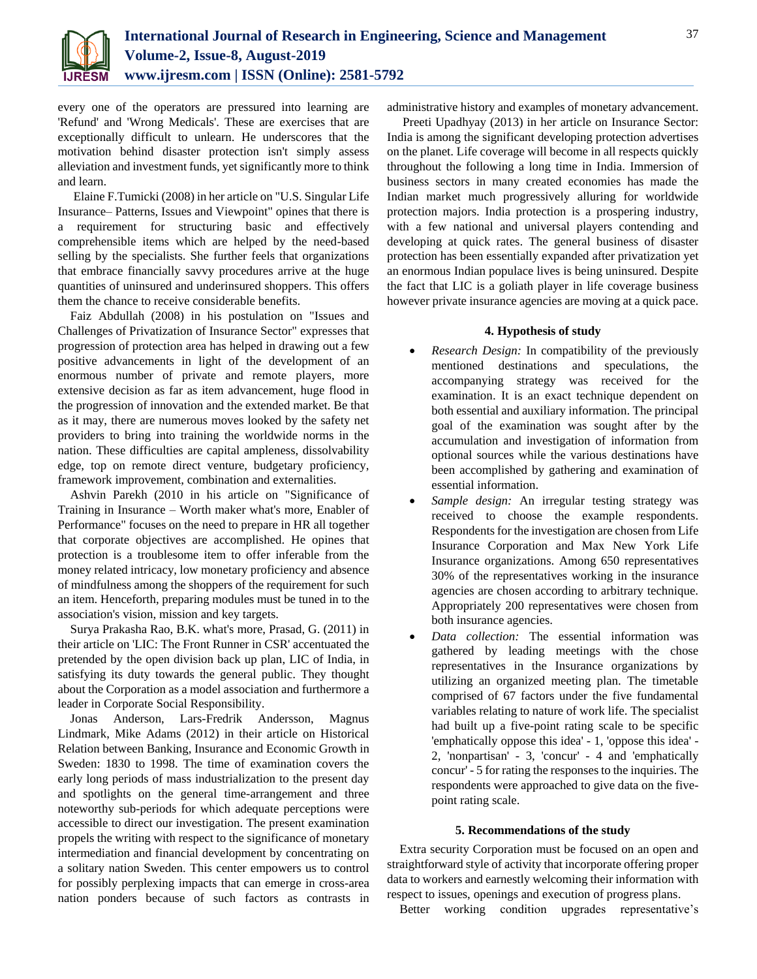

every one of the operators are pressured into learning are 'Refund' and 'Wrong Medicals'. These are exercises that are exceptionally difficult to unlearn. He underscores that the motivation behind disaster protection isn't simply assess alleviation and investment funds, yet significantly more to think and learn.

Elaine F.Tumicki (2008) in her article on "U.S. Singular Life Insurance– Patterns, Issues and Viewpoint" opines that there is a requirement for structuring basic and effectively comprehensible items which are helped by the need-based selling by the specialists. She further feels that organizations that embrace financially savvy procedures arrive at the huge quantities of uninsured and underinsured shoppers. This offers them the chance to receive considerable benefits.

Faiz Abdullah (2008) in his postulation on "Issues and Challenges of Privatization of Insurance Sector" expresses that progression of protection area has helped in drawing out a few positive advancements in light of the development of an enormous number of private and remote players, more extensive decision as far as item advancement, huge flood in the progression of innovation and the extended market. Be that as it may, there are numerous moves looked by the safety net providers to bring into training the worldwide norms in the nation. These difficulties are capital ampleness, dissolvability edge, top on remote direct venture, budgetary proficiency, framework improvement, combination and externalities.

Ashvin Parekh (2010 in his article on "Significance of Training in Insurance – Worth maker what's more, Enabler of Performance" focuses on the need to prepare in HR all together that corporate objectives are accomplished. He opines that protection is a troublesome item to offer inferable from the money related intricacy, low monetary proficiency and absence of mindfulness among the shoppers of the requirement for such an item. Henceforth, preparing modules must be tuned in to the association's vision, mission and key targets.

Surya Prakasha Rao, B.K. what's more, Prasad, G. (2011) in their article on 'LIC: The Front Runner in CSR' accentuated the pretended by the open division back up plan, LIC of India, in satisfying its duty towards the general public. They thought about the Corporation as a model association and furthermore a leader in Corporate Social Responsibility.

Jonas Anderson, Lars-Fredrik Andersson, Magnus Lindmark, Mike Adams (2012) in their article on Historical Relation between Banking, Insurance and Economic Growth in Sweden: 1830 to 1998. The time of examination covers the early long periods of mass industrialization to the present day and spotlights on the general time-arrangement and three noteworthy sub-periods for which adequate perceptions were accessible to direct our investigation. The present examination propels the writing with respect to the significance of monetary intermediation and financial development by concentrating on a solitary nation Sweden. This center empowers us to control for possibly perplexing impacts that can emerge in cross-area nation ponders because of such factors as contrasts in administrative history and examples of monetary advancement.

Preeti Upadhyay (2013) in her article on Insurance Sector: India is among the significant developing protection advertises on the planet. Life coverage will become in all respects quickly throughout the following a long time in India. Immersion of business sectors in many created economies has made the Indian market much progressively alluring for worldwide protection majors. India protection is a prospering industry, with a few national and universal players contending and developing at quick rates. The general business of disaster protection has been essentially expanded after privatization yet an enormous Indian populace lives is being uninsured. Despite the fact that LIC is a goliath player in life coverage business however private insurance agencies are moving at a quick pace.

# **4. Hypothesis of study**

- *Research Design:* In compatibility of the previously mentioned destinations and speculations, the accompanying strategy was received for the examination. It is an exact technique dependent on both essential and auxiliary information. The principal goal of the examination was sought after by the accumulation and investigation of information from optional sources while the various destinations have been accomplished by gathering and examination of essential information.
- *Sample design:* An irregular testing strategy was received to choose the example respondents. Respondents for the investigation are chosen from Life Insurance Corporation and Max New York Life Insurance organizations. Among 650 representatives 30% of the representatives working in the insurance agencies are chosen according to arbitrary technique. Appropriately 200 representatives were chosen from both insurance agencies.
- *Data collection:* The essential information was gathered by leading meetings with the chose representatives in the Insurance organizations by utilizing an organized meeting plan. The timetable comprised of 67 factors under the five fundamental variables relating to nature of work life. The specialist had built up a five-point rating scale to be specific 'emphatically oppose this idea' - 1, 'oppose this idea' - 2, 'nonpartisan' - 3, 'concur' - 4 and 'emphatically concur' - 5 for rating the responses to the inquiries. The respondents were approached to give data on the fivepoint rating scale.

# **5. Recommendations of the study**

Extra security Corporation must be focused on an open and straightforward style of activity that incorporate offering proper data to workers and earnestly welcoming their information with respect to issues, openings and execution of progress plans.

Better working condition upgrades representative's